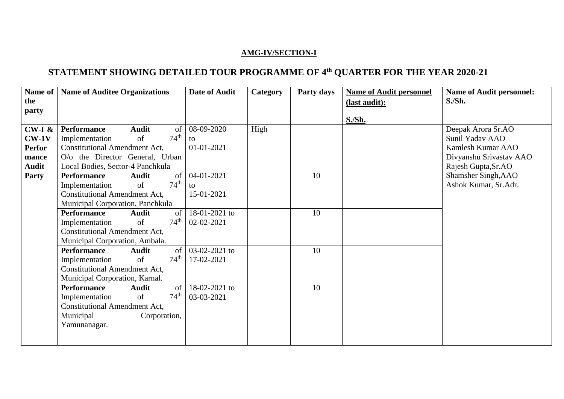## **AMG-IV/SECTION-I**

## **STATEMENT SHOWING DETAILED TOUR PROGRAMME OF 4th QUARTER FOR THE YEAR 2020-21**

| Name of       | <b>Name of Auditee Organizations</b>     | Date of Audit | Category | Party days | <b>Name of Audit personnel</b> | <b>Name of Audit personnel:</b> |
|---------------|------------------------------------------|---------------|----------|------------|--------------------------------|---------------------------------|
| the           |                                          |               |          |            | (last audit):                  | S.Sh.                           |
| party         |                                          |               |          |            |                                |                                 |
|               |                                          |               |          |            | S.Sh.                          |                                 |
| $CW-I &$      | <b>Audit</b><br><b>Performance</b><br>of | 08-09-2020    | High     |            |                                | Deepak Arora Sr.AO              |
| $CW-1V$       | $74^{\text{th}}$<br>of<br>Implementation | to            |          |            |                                | Sunil Yadav AAO                 |
| <b>Perfor</b> | <b>Constitutional Amendment Act,</b>     | 01-01-2021    |          |            |                                | Kamlesh Kumar AAO               |
| mance         | O/o the Director General, Urban          |               |          |            |                                | Divyanshu Srivastav AAO         |
| <b>Audit</b>  | Local Bodies, Sector-4 Panchkula         |               |          |            |                                | Rajesh Gupta, Sr.AO             |
| <b>Party</b>  | <b>Performance</b><br><b>Audit</b><br>of | 04-01-2021    |          | 10         |                                | Shamsher Singh, AAO             |
|               | 74 <sup>th</sup><br>of<br>Implementation | to            |          |            |                                | Ashok Kumar, Sr.Adr.            |
|               | <b>Constitutional Amendment Act,</b>     | 15-01-2021    |          |            |                                |                                 |
|               | Municipal Corporation, Panchkula         |               |          |            |                                |                                 |
|               | <b>Performance</b><br><b>Audit</b><br>of | 18-01-2021 to |          | 10         |                                |                                 |
|               | $74^{\text{th}}$<br>of<br>Implementation | 02-02-2021    |          |            |                                |                                 |
|               | <b>Constitutional Amendment Act,</b>     |               |          |            |                                |                                 |
|               | Municipal Corporation, Ambala.           |               |          |            |                                |                                 |
|               | <b>Performance</b><br><b>Audit</b><br>of | 03-02-2021 to |          | 10         |                                |                                 |
|               | $74^{\text{th}}$<br>of<br>Implementation | 17-02-2021    |          |            |                                |                                 |
|               | <b>Constitutional Amendment Act,</b>     |               |          |            |                                |                                 |
|               | Municipal Corporation, Karnal.           |               |          |            |                                |                                 |
|               | <b>Performance</b><br><b>Audit</b><br>of | 18-02-2021 to |          | 10         |                                |                                 |
|               | $74^{\text{th}}$<br>of<br>Implementation | 03-03-2021    |          |            |                                |                                 |
|               | <b>Constitutional Amendment Act,</b>     |               |          |            |                                |                                 |
|               | Municipal<br>Corporation,                |               |          |            |                                |                                 |
|               | Yamunanagar.                             |               |          |            |                                |                                 |
|               |                                          |               |          |            |                                |                                 |
|               |                                          |               |          |            |                                |                                 |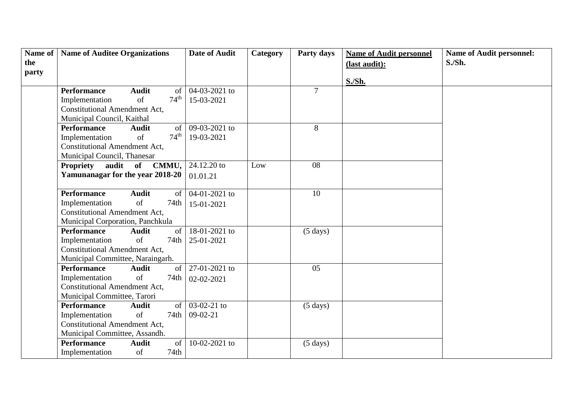| Name of | <b>Name of Auditee Organizations</b> |               |                  | <b>Date of Audit</b> | Category | Party days         | <b>Name of Audit personnel</b> | <b>Name of Audit personnel:</b> |
|---------|--------------------------------------|---------------|------------------|----------------------|----------|--------------------|--------------------------------|---------------------------------|
| the     |                                      |               |                  |                      |          |                    | (last audit):                  | S.Sh.                           |
| party   |                                      |               |                  |                      |          |                    |                                |                                 |
|         |                                      |               |                  |                      |          |                    | S./Sh.                         |                                 |
|         | <b>Performance</b>                   | <b>Audit</b>  | of               | 04-03-2021 to        |          | $\overline{7}$     |                                |                                 |
|         | Implementation                       | of            | $74^{\text{th}}$ | 15-03-2021           |          |                    |                                |                                 |
|         | <b>Constitutional Amendment Act,</b> |               |                  |                      |          |                    |                                |                                 |
|         | Municipal Council, Kaithal           |               |                  |                      |          |                    |                                |                                 |
|         | <b>Performance</b>                   | <b>Audit</b>  | of               | $09 - 03 - 2021$ to  |          | 8                  |                                |                                 |
|         | Implementation                       | of            | $74^{\text{th}}$ | 19-03-2021           |          |                    |                                |                                 |
|         | <b>Constitutional Amendment Act,</b> |               |                  |                      |          |                    |                                |                                 |
|         | Municipal Council, Thanesar          |               |                  |                      |          |                    |                                |                                 |
|         | <b>Propriety</b>                     | audit of      | CMMU,            | 24.12.20 to          | Low      | 08                 |                                |                                 |
|         | Yamunanagar for the year 2018-20     |               |                  | 01.01.21             |          |                    |                                |                                 |
|         |                                      |               |                  |                      |          |                    |                                |                                 |
|         | <b>Performance</b>                   | <b>Audit</b>  | of               | 04-01-2021 to        |          | $\overline{10}$    |                                |                                 |
|         | Implementation                       | of            | 74th             | 15-01-2021           |          |                    |                                |                                 |
|         | <b>Constitutional Amendment Act,</b> |               |                  |                      |          |                    |                                |                                 |
|         | Municipal Corporation, Panchkula     |               |                  |                      |          |                    |                                |                                 |
|         | <b>Performance</b>                   | <b>Audit</b>  | of               | 18-01-2021 to        |          | $(5 \text{ days})$ |                                |                                 |
|         | Implementation                       | <sub>of</sub> | 74th             | 25-01-2021           |          |                    |                                |                                 |
|         | <b>Constitutional Amendment Act,</b> |               |                  |                      |          |                    |                                |                                 |
|         | Municipal Committee, Naraingarh.     |               |                  |                      |          |                    |                                |                                 |
|         | <b>Performance</b>                   | <b>Audit</b>  | of               | 27-01-2021 to        |          | 05                 |                                |                                 |
|         | Implementation                       | of            | 74th             | 02-02-2021           |          |                    |                                |                                 |
|         | <b>Constitutional Amendment Act,</b> |               |                  |                      |          |                    |                                |                                 |
|         | Municipal Committee, Tarori          |               |                  |                      |          |                    |                                |                                 |
|         | <b>Performance</b>                   | <b>Audit</b>  | of               | 03-02-21 to          |          | $(5 \text{ days})$ |                                |                                 |
|         | Implementation                       | of            | 74th             | $09-02-21$           |          |                    |                                |                                 |
|         | <b>Constitutional Amendment Act,</b> |               |                  |                      |          |                    |                                |                                 |
|         | Municipal Committee, Assandh.        |               |                  |                      |          |                    |                                |                                 |
|         | <b>Performance</b>                   | <b>Audit</b>  | of               | 10-02-2021 to        |          | $(5 \text{ days})$ |                                |                                 |
|         | Implementation                       | of            | 74th             |                      |          |                    |                                |                                 |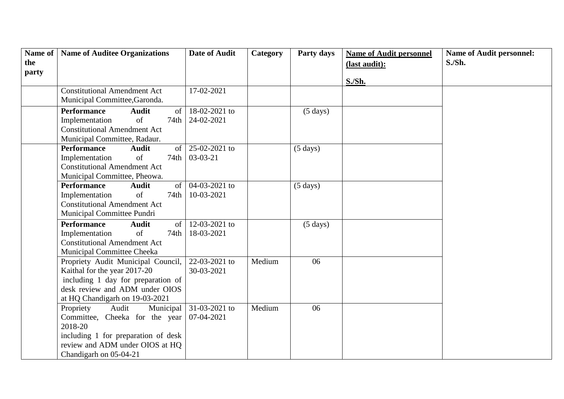| Name of      | <b>Name of Auditee Organizations</b>                                 | <b>Date of Audit</b>        | Category | Party days         | <b>Name of Audit personnel</b> | <b>Name of Audit personnel:</b> |
|--------------|----------------------------------------------------------------------|-----------------------------|----------|--------------------|--------------------------------|---------------------------------|
| the<br>party |                                                                      |                             |          |                    | (last audit):                  | S.Sh.                           |
|              |                                                                      |                             |          |                    | S./Sh.                         |                                 |
|              | <b>Constitutional Amendment Act</b>                                  | 17-02-2021                  |          |                    |                                |                                 |
|              | Municipal Committee, Garonda.                                        |                             |          |                    |                                |                                 |
|              | <b>Performance</b><br><b>Audit</b><br>$\sigma$                       | 18-02-2021 to               |          | $(5 \text{ days})$ |                                |                                 |
|              | $\sigma$ f<br>Implementation<br>74th                                 | 24-02-2021                  |          |                    |                                |                                 |
|              | <b>Constitutional Amendment Act</b>                                  |                             |          |                    |                                |                                 |
|              | Municipal Committee, Radaur.                                         |                             |          |                    |                                |                                 |
|              | of  <br><b>Performance</b><br><b>Audit</b><br>of<br>74th             | 25-02-2021 to<br>$03-03-21$ |          | $(5 \text{ days})$ |                                |                                 |
|              | Implementation<br><b>Constitutional Amendment Act</b>                |                             |          |                    |                                |                                 |
|              | Municipal Committee, Pheowa.                                         |                             |          |                    |                                |                                 |
|              | <b>Performance</b><br>of<br><b>Audit</b>                             | 04-03-2021 to               |          | $(5 \text{ days})$ |                                |                                 |
|              | of<br>Implementation<br>74th                                         | 10-03-2021                  |          |                    |                                |                                 |
|              | <b>Constitutional Amendment Act</b>                                  |                             |          |                    |                                |                                 |
|              | Municipal Committee Pundri                                           |                             |          |                    |                                |                                 |
|              | <b>Performance</b><br><b>Audit</b><br>of                             | 12-03-2021 to               |          | $(5 \text{ days})$ |                                |                                 |
|              | of<br>Implementation<br>74th                                         | 18-03-2021                  |          |                    |                                |                                 |
|              | <b>Constitutional Amendment Act</b>                                  |                             |          |                    |                                |                                 |
|              | Municipal Committee Cheeka                                           |                             |          |                    |                                |                                 |
|              | Propriety Audit Municipal Council,                                   | $22 - 03 - 2021$ to         | Medium   | 06                 |                                |                                 |
|              | Kaithal for the year 2017-20                                         | 30-03-2021                  |          |                    |                                |                                 |
|              | including 1 day for preparation of<br>desk review and ADM under OIOS |                             |          |                    |                                |                                 |
|              | at HQ Chandigarh on 19-03-2021                                       |                             |          |                    |                                |                                 |
|              | Propriety<br>Audit<br>Municipal                                      | 31-03-2021 to               | Medium   | 06                 |                                |                                 |
|              | Committee, Cheeka for the year                                       | 07-04-2021                  |          |                    |                                |                                 |
|              | 2018-20                                                              |                             |          |                    |                                |                                 |
|              | including 1 for preparation of desk                                  |                             |          |                    |                                |                                 |
|              | review and ADM under OIOS at HQ                                      |                             |          |                    |                                |                                 |
|              | Chandigarh on 05-04-21                                               |                             |          |                    |                                |                                 |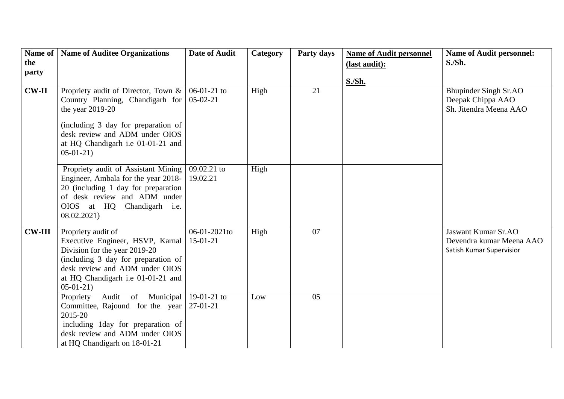| Name of<br>the | <b>Name of Auditee Organizations</b>                                                                                                                                                                                    | <b>Date of Audit</b>        | Category | Party days | <b>Name of Audit personnel</b><br>(last audit): | <b>Name of Audit personnel:</b><br>$S.Sth$ .                                       |
|----------------|-------------------------------------------------------------------------------------------------------------------------------------------------------------------------------------------------------------------------|-----------------------------|----------|------------|-------------------------------------------------|------------------------------------------------------------------------------------|
| party          |                                                                                                                                                                                                                         |                             |          |            | S./Sh.                                          |                                                                                    |
| $CW-II$        | Propriety audit of Director, Town &<br>Country Planning, Chandigarh for<br>the year 2019-20<br>(including 3 day for preparation of<br>desk review and ADM under OIOS<br>at HQ Chandigarh i.e 01-01-21 and<br>$05-01-21$ | $06-01-21$ to<br>$05-02-21$ | High     | 21         |                                                 | <b>Bhupinder Singh Sr.AO</b><br>Deepak Chippa AAO<br>Sh. Jitendra Meena AAO        |
|                | Propriety audit of Assistant Mining<br>Engineer, Ambala for the year 2018-<br>20 (including 1 day for preparation<br>of desk review and ADM under<br>OIOS at HQ Chandigarh i.e.<br>08.02.2021                           | 09.02.21 to<br>19.02.21     | High     |            |                                                 |                                                                                    |
| <b>CW-III</b>  | Propriety audit of<br>Executive Engineer, HSVP, Karnal<br>Division for the year 2019-20<br>(including 3 day for preparation of<br>desk review and ADM under OIOS<br>at HQ Chandigarh i.e 01-01-21 and<br>$05-01-21$     | 06-01-2021to<br>$15-01-21$  | High     | 07         |                                                 | <b>Jaswant Kumar Sr.AO</b><br>Devendra kumar Meena AAO<br>Satish Kumar Supervisior |
|                | of Municipal<br>Audit<br>Propriety<br>Committee, Rajound for the year<br>2015-20<br>including 1day for preparation of<br>desk review and ADM under OIOS<br>at HQ Chandigarh on 18-01-21                                 | 19-01-21 to<br>$27-01-21$   | Low      | 05         |                                                 |                                                                                    |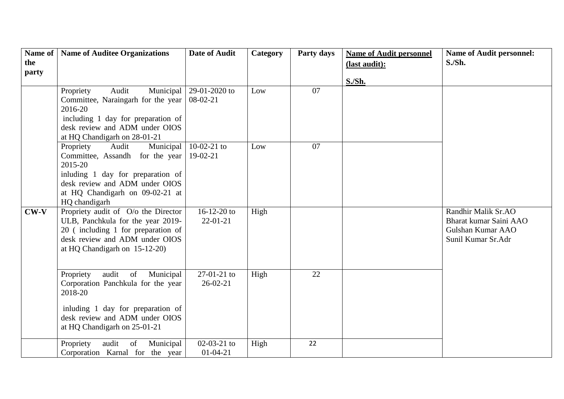| Name of<br>the | <b>Name of Auditee Organizations</b>                                                                                                                                                                     | <b>Date of Audit</b>            | Category | Party days | <b>Name of Audit personnel</b><br>(last audit): | <b>Name of Audit personnel:</b><br>$S.Sth$ .                                             |
|----------------|----------------------------------------------------------------------------------------------------------------------------------------------------------------------------------------------------------|---------------------------------|----------|------------|-------------------------------------------------|------------------------------------------------------------------------------------------|
| party          |                                                                                                                                                                                                          |                                 |          |            |                                                 |                                                                                          |
|                | Audit<br>Municipal<br>Propriety<br>Committee, Naraingarh for the year<br>2016-20<br>including 1 day for preparation of<br>desk review and ADM under OIOS<br>at HQ Chandigarh on 28-01-21                 | 29-01-2020 to<br>$08-02-21$     | Low      | 07         | S./Sh.                                          |                                                                                          |
|                | Audit<br>Municipal<br>Propriety<br>Committee, Assandh for the year<br>2015-20<br>inluding 1 day for preparation of<br>desk review and ADM under OIOS<br>at HQ Chandigarh on 09-02-21 at<br>HQ chandigarh | $10-02-21$ to<br>$19-02-21$     | Low      | 07         |                                                 |                                                                                          |
| $CW-V$         | Propriety audit of O/o the Director<br>ULB, Panchkula for the year 2019-<br>20 (including 1 for preparation of<br>desk review and ADM under OIOS<br>at HQ Chandigarh on 15-12-20)                        | $16-12-20$ to<br>$22 - 01 - 21$ | High     |            |                                                 | Randhir Malik Sr.AO<br>Bharat kumar Saini AAO<br>Gulshan Kumar AAO<br>Sunil Kumar Sr.Adr |
|                | audit<br>of<br>Municipal<br>Propriety<br>Corporation Panchkula for the year<br>2018-20<br>inluding 1 day for preparation of<br>desk review and ADM under OIOS<br>at HQ Chandigarh on 25-01-21            | 27-01-21 to<br>$26-02-21$       | High     | 22         |                                                 |                                                                                          |
|                | Propriety<br>audit<br>Municipal<br>of<br>Corporation Karnal for the year                                                                                                                                 | $02-03-21$ to<br>$01 - 04 - 21$ | High     | 22         |                                                 |                                                                                          |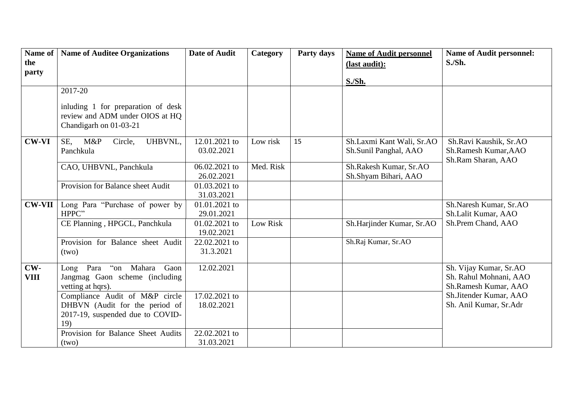| Name of       | <b>Name of Auditee Organizations</b>                      | <b>Date of Audit</b>        | Category  | Party days | <b>Name of Audit personnel</b>                 | <b>Name of Audit personnel:</b>                |
|---------------|-----------------------------------------------------------|-----------------------------|-----------|------------|------------------------------------------------|------------------------------------------------|
| the<br>party  |                                                           |                             |           |            | (last audit):                                  | $S.Sth$ .                                      |
|               |                                                           |                             |           |            | <b>S./Sh.</b>                                  |                                                |
|               | 2017-20                                                   |                             |           |            |                                                |                                                |
|               | inluding 1 for preparation of desk                        |                             |           |            |                                                |                                                |
|               | review and ADM under OIOS at HQ<br>Chandigarh on 01-03-21 |                             |           |            |                                                |                                                |
| <b>CW-VI</b>  | UHBVNL,<br>M&P<br>SE.<br>Circle,                          | 12.01.2021 to               | Low risk  | 15         | Sh.Laxmi Kant Wali, Sr.AO                      | Sh.Ravi Kaushik, Sr.AO                         |
|               | Panchkula                                                 | 03.02.2021                  |           |            | Sh.Sunil Panghal, AAO                          | Sh.Ramesh Kumar, AAO<br>Sh.Ram Sharan, AAO     |
|               | CAO, UHBVNL, Panchkula                                    | 06.02.2021 to<br>26.02.2021 | Med. Risk |            | Sh.Rakesh Kumar, Sr.AO<br>Sh.Shyam Bihari, AAO |                                                |
|               | Provision for Balance sheet Audit                         | 01.03.2021 to<br>31.03.2021 |           |            |                                                |                                                |
| <b>CW-VII</b> | Long Para "Purchase of power by                           | 01.01.2021 to               |           |            |                                                | Sh.Naresh Kumar, Sr.AO                         |
|               | HPPC"                                                     | 29.01.2021                  |           |            |                                                | Sh.Lalit Kumar, AAO                            |
|               | CE Planning, HPGCL, Panchkula                             | 01.02.2021 to<br>19.02.2021 | Low Risk  |            | Sh.Harjinder Kumar, Sr.AO                      | Sh.Prem Chand, AAO                             |
|               | Provision for Balance sheet Audit                         | 22.02.2021 to               |           |            | Sh.Raj Kumar, Sr.AO                            |                                                |
|               | (two)                                                     | 31.3.2021                   |           |            |                                                |                                                |
| $CW-$         | Long Para "on Mahara<br>Gaon                              | 12.02.2021                  |           |            |                                                | Sh. Vijay Kumar, Sr.AO                         |
| <b>VIII</b>   | Jangmag Gaon scheme (including<br>vetting at hqrs).       |                             |           |            |                                                | Sh. Rahul Mohnani, AAO<br>Sh.Ramesh Kumar, AAO |
|               | Compliance Audit of M&P circle                            | 17.02.2021 to               |           |            |                                                | Sh.Jitender Kumar, AAO                         |
|               | DHBVN (Audit for the period of                            | 18.02.2021                  |           |            |                                                | Sh. Anil Kumar, Sr.Adr                         |
|               | 2017-19, suspended due to COVID-                          |                             |           |            |                                                |                                                |
|               | 19)                                                       |                             |           |            |                                                |                                                |
|               | Provision for Balance Sheet Audits                        | 22.02.2021 to               |           |            |                                                |                                                |
|               | (two)                                                     | 31.03.2021                  |           |            |                                                |                                                |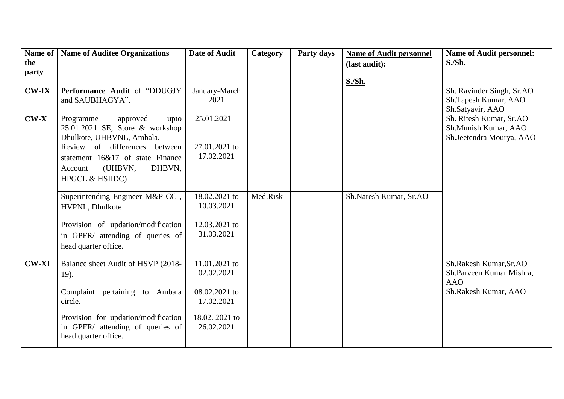| Name of  | <b>Name of Auditee Organizations</b> | <b>Date of Audit</b> | Category | Party days | <b>Name of Audit personnel</b> | <b>Name of Audit personnel:</b> |
|----------|--------------------------------------|----------------------|----------|------------|--------------------------------|---------------------------------|
| the      |                                      |                      |          |            | (last audit):                  | S.Sh.                           |
| party    |                                      |                      |          |            |                                |                                 |
|          |                                      |                      |          |            | S./Sh.                         |                                 |
| $CW$ -IX | Performance Audit of "DDUGJY         | January-March        |          |            |                                | Sh. Ravinder Singh, Sr.AO       |
|          | and SAUBHAGYA".                      | 2021                 |          |            |                                | Sh.Tapesh Kumar, AAO            |
|          |                                      |                      |          |            |                                | Sh.Satyavir, AAO                |
| $CW-X$   | Programme<br>approved<br>upto        | 25.01.2021           |          |            |                                | Sh. Ritesh Kumar, Sr.AO         |
|          | 25.01.2021 SE, Store & workshop      |                      |          |            |                                | Sh.Munish Kumar, AAO            |
|          | Dhulkote, UHBVNL, Ambala.            |                      |          |            |                                | Sh.Jeetendra Mourya, AAO        |
|          | Review of differences<br>between     | 27.01.2021 to        |          |            |                                |                                 |
|          | statement 16&17 of state Finance     | 17.02.2021           |          |            |                                |                                 |
|          | (UHBVN,<br>DHBVN,<br>Account         |                      |          |            |                                |                                 |
|          | HPGCL & HSIIDC)                      |                      |          |            |                                |                                 |
|          |                                      |                      |          |            |                                |                                 |
|          | Superintending Engineer M&P CC,      | 18.02.2021 to        | Med.Risk |            | Sh.Naresh Kumar, Sr.AO         |                                 |
|          | HVPNL, Dhulkote                      | 10.03.2021           |          |            |                                |                                 |
|          |                                      |                      |          |            |                                |                                 |
|          | Provision of updation/modification   | 12.03.2021 to        |          |            |                                |                                 |
|          | in GPFR/ attending of queries of     | 31.03.2021           |          |            |                                |                                 |
|          | head quarter office.                 |                      |          |            |                                |                                 |
|          |                                      |                      |          |            |                                |                                 |
| $CW-XI$  | Balance sheet Audit of HSVP (2018-   | 11.01.2021 to        |          |            |                                | Sh.Rakesh Kumar, Sr.AO          |
|          | 19).                                 | 02.02.2021           |          |            |                                | Sh.Parveen Kumar Mishra,        |
|          |                                      |                      |          |            |                                | <b>AAO</b>                      |
|          | Complaint pertaining to Ambala       | 08.02.2021 to        |          |            |                                | Sh.Rakesh Kumar, AAO            |
|          | circle.                              | 17.02.2021           |          |            |                                |                                 |
|          | Provision for updation/modification  | 18.02. 2021 to       |          |            |                                |                                 |
|          | in GPFR/ attending of queries of     | 26.02.2021           |          |            |                                |                                 |
|          | head quarter office.                 |                      |          |            |                                |                                 |
|          |                                      |                      |          |            |                                |                                 |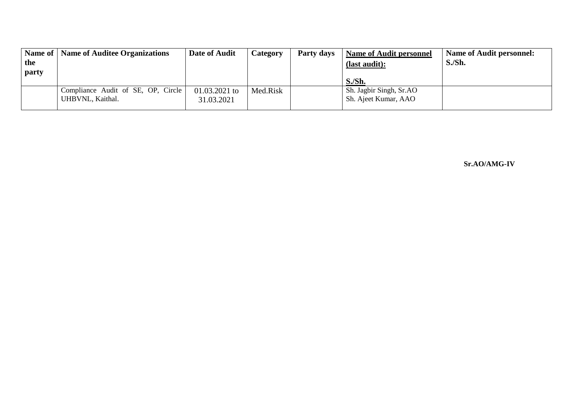| Name of | Name of Auditee Organizations      | Date of Audit | <b>Category</b> | Party days | <b>Name of Audit personnel</b> | Name of Audit personnel: |
|---------|------------------------------------|---------------|-----------------|------------|--------------------------------|--------------------------|
| the     |                                    |               |                 |            | (last audit):                  | S./Sh.                   |
| party   |                                    |               |                 |            |                                |                          |
|         |                                    |               |                 |            | S.Sh.                          |                          |
|         | Compliance Audit of SE, OP, Circle | 01.03.2021 to | Med.Risk        |            | Sh. Jagbir Singh, Sr.AO        |                          |
|         | UHBVNL, Kaithal.                   | 31.03.2021    |                 |            | Sh. Ajeet Kumar, AAO           |                          |
|         |                                    |               |                 |            |                                |                          |

 **Sr.AO/AMG-IV**